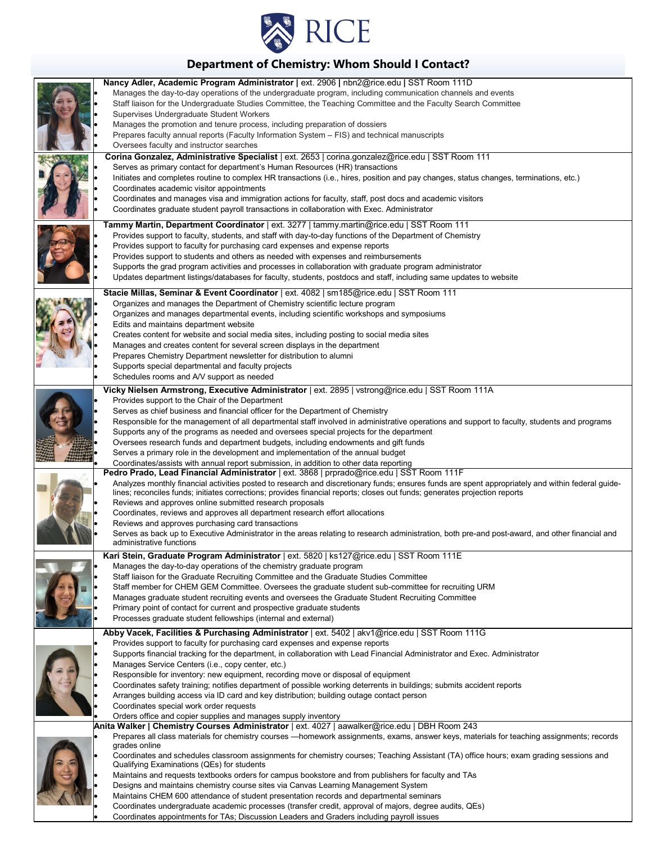

# **Department of Chemistry: Whom Should I Contact?**

|  | Nancy Adler, Academic Program Administrator   ext. 2906   nbn2@rice.edu   SST Room 111D                                                                                    |
|--|----------------------------------------------------------------------------------------------------------------------------------------------------------------------------|
|  | Manages the day-to-day operations of the undergraduate program, including communication channels and events                                                                |
|  | Staff liaison for the Undergraduate Studies Committee, the Teaching Committee and the Faculty Search Committee                                                             |
|  | Supervises Undergraduate Student Workers                                                                                                                                   |
|  | Manages the promotion and tenure process, including preparation of dossiers                                                                                                |
|  | Prepares faculty annual reports (Faculty Information System - FIS) and technical manuscripts                                                                               |
|  | Oversees faculty and instructor searches                                                                                                                                   |
|  | Corina Gonzalez, Administrative Specialist   ext. 2653   corina.gonzalez@rice.edu   SST Room 111                                                                           |
|  | Serves as primary contact for department's Human Resources (HR) transactions                                                                                               |
|  | Initiates and completes routine to complex HR transactions (i.e., hires, position and pay changes, status changes, terminations, etc.)                                     |
|  | Coordinates academic visitor appointments                                                                                                                                  |
|  | Coordinates and manages visa and immigration actions for faculty, staff, post docs and academic visitors                                                                   |
|  | Coordinates graduate student payroll transactions in collaboration with Exec. Administrator                                                                                |
|  | Tammy Martin, Department Coordinator   ext. 3277   tammy.martin@rice.edu   SST Room 111                                                                                    |
|  | Provides support to faculty, students, and staff with day-to-day functions of the Department of Chemistry                                                                  |
|  | Provides support to faculty for purchasing card expenses and expense reports                                                                                               |
|  | Provides support to students and others as needed with expenses and reimbursements                                                                                         |
|  | Supports the grad program activities and processes in collaboration with graduate program administrator                                                                    |
|  | Updates department listings/databases for faculty, students, postdocs and staff, including same updates to website                                                         |
|  | Stacie Millas, Seminar & Event Coordinator   ext. 4082   sm185@rice.edu   SST Room 111                                                                                     |
|  | Organizes and manages the Department of Chemistry scientific lecture program                                                                                               |
|  | Organizes and manages departmental events, including scientific workshops and symposiums                                                                                   |
|  | Edits and maintains department website                                                                                                                                     |
|  | Creates content for website and social media sites, including posting to social media sites                                                                                |
|  | Manages and creates content for several screen displays in the department                                                                                                  |
|  | Prepares Chemistry Department newsletter for distribution to alumni                                                                                                        |
|  | Supports special departmental and faculty projects                                                                                                                         |
|  | Schedules rooms and A/V support as needed                                                                                                                                  |
|  | Vicky Nielsen Armstrong, Executive Administrator   ext. 2895   vstrong@rice.edu   SST Room 111A                                                                            |
|  | Provides support to the Chair of the Department                                                                                                                            |
|  | Serves as chief business and financial officer for the Department of Chemistry                                                                                             |
|  | Responsible for the management of all departmental staff involved in administrative operations and support to faculty, students and programs                               |
|  | Supports any of the programs as needed and oversees special projects for the department                                                                                    |
|  | Oversees research funds and department budgets, including endowments and gift funds                                                                                        |
|  | Serves a primary role in the development and implementation of the annual budget<br>Coordinates/assists with annual report submission, in addition to other data reporting |
|  | Pedro Prado, Lead Financial Administrator   ext. 3868   prprado@rice.edu   SST Room 111F                                                                                   |
|  | Analyzes monthly financial activities posted to research and discretionary funds; ensures funds are spent appropriately and within federal guide-                          |
|  | lines; reconciles funds; initiates corrections; provides financial reports; closes out funds; generates projection reports                                                 |
|  | Reviews and approves online submitted research proposals                                                                                                                   |
|  | Coordinates, reviews and approves all department research effort allocations                                                                                               |
|  | Reviews and approves purchasing card transactions                                                                                                                          |
|  | Serves as back up to Executive Administrator in the areas relating to research administration, both pre-and post-award, and other financial and                            |
|  | administrative functions                                                                                                                                                   |
|  | Kari Stein, Graduate Program Administrator   ext. 5820   ks127@rice.edu   SST Room 111E                                                                                    |
|  | Manages the day-to-day operations of the chemistry graduate program<br>Staff liaison for the Graduate Recruiting Committee and the Graduate Studies Committee              |
|  | Staff member for CHEM GEM Committee. Oversees the graduate student sub-committee for recruiting URM                                                                        |
|  | Manages graduate student recruiting events and oversees the Graduate Student Recruiting Committee                                                                          |
|  | Primary point of contact for current and prospective graduate students                                                                                                     |
|  | Processes graduate student fellowships (internal and external)                                                                                                             |
|  | Abby Vacek, Facilities & Purchasing Administrator   ext. 5402   akv1@rice.edu   SST Room 111G                                                                              |
|  | Provides support to faculty for purchasing card expenses and expense reports                                                                                               |
|  | Supports financial tracking for the department, in collaboration with Lead Financial Administrator and Exec. Administrator                                                 |
|  | Manages Service Centers (i.e., copy center, etc.)                                                                                                                          |
|  | Responsible for inventory: new equipment, recording move or disposal of equipment                                                                                          |
|  | Coordinates safety training; notifies department of possible working deterrents in buildings; submits accident reports                                                     |
|  | Arranges building access via ID card and key distribution; building outage contact person                                                                                  |
|  | Coordinates special work order requests                                                                                                                                    |
|  | Orders office and copier supplies and manages supply inventory                                                                                                             |
|  | Anita Walker   Chemistry Courses Administrator   ext. 4027   aawalker@rice.edu   DBH Room 243                                                                              |
|  | Prepares all class materials for chemistry courses -- homework assignments, exams, answer keys, materials for teaching assignments; records<br>grades online               |
|  | Coordinates and schedules classroom assignments for chemistry courses; Teaching Assistant (TA) office hours; exam grading sessions and                                     |
|  | Qualifying Examinations (QEs) for students                                                                                                                                 |
|  | Maintains and requests textbooks orders for campus bookstore and from publishers for faculty and TAs                                                                       |
|  | Designs and maintains chemistry course sites via Canvas Learning Management System                                                                                         |
|  | Maintains CHEM 600 attendance of student presentation records and departmental seminars                                                                                    |
|  | Coordinates undergraduate academic processes (transfer credit, approval of majors, degree audits, QEs)                                                                     |

• Coordinates appointments for TAs; Discussion Leaders and Graders including payroll issues